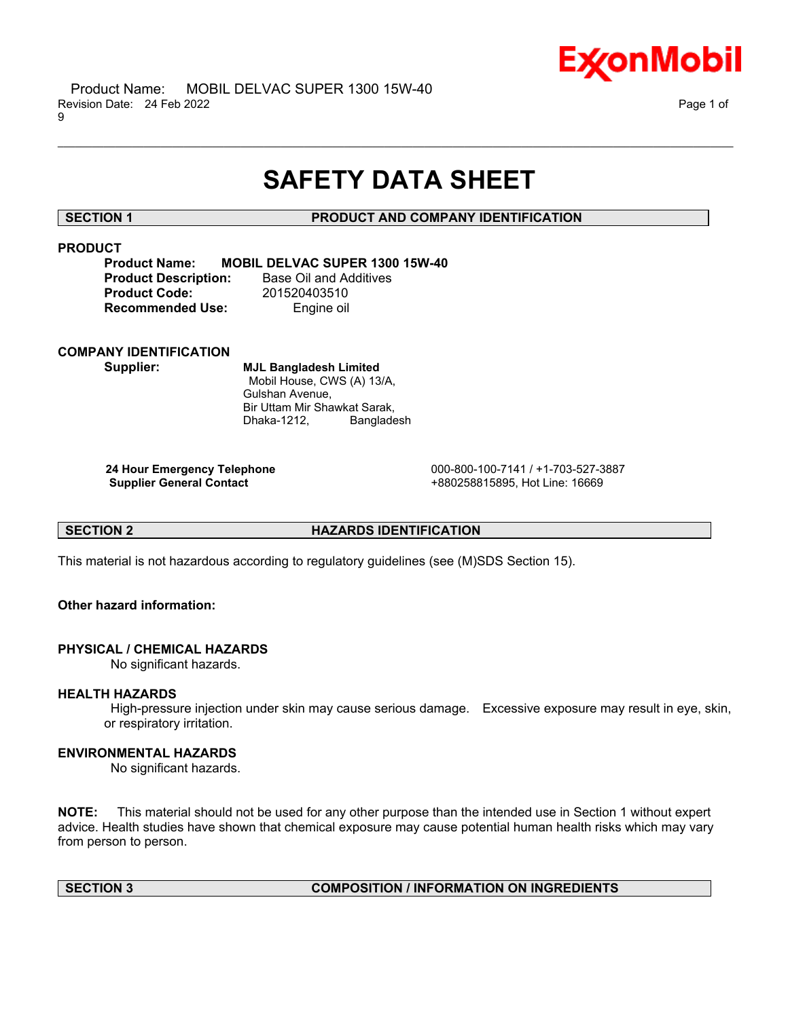

# **SAFETY DATA SHEET**

\_\_\_\_\_\_\_\_\_\_\_\_\_\_\_\_\_\_\_\_\_\_\_\_\_\_\_\_\_\_\_\_\_\_\_\_\_\_\_\_\_\_\_\_\_\_\_\_\_\_\_\_\_\_\_\_\_\_\_\_\_\_\_\_\_\_\_\_\_\_\_\_\_\_\_\_\_\_\_\_\_\_\_\_\_\_\_\_\_\_\_\_\_\_\_\_\_\_\_\_\_\_\_\_\_\_\_\_\_\_\_\_\_\_\_\_\_\_

# **SECTION 1 PRODUCT AND COMPANY IDENTIFICATION**

# **PRODUCT**

**Product Name: MOBIL DELVAC SUPER 1300 15W-40 Product Description:** Base Oil and Additives **Product Code:** 201520403510 **Recommended Use:** Engine oil

# **COMPANY IDENTIFICATION**

**Supplier: MJL Bangladesh Limited** Mobil House, CWS (A) 13/A, Gulshan Avenue, Bir Uttam Mir Shawkat Sarak, Dhaka-1212, Bangladesh

**24 Hour Emergency Telephone** 000-800-100-7141 / +1-703-527-3887 **Supplier General Contact** +880258815895, Hot Line: 16669

**SECTION 2 HAZARDS IDENTIFICATION**

This material is not hazardous according to regulatory guidelines (see (M)SDS Section 15).

# **Other hazard information:**

# **PHYSICAL / CHEMICAL HAZARDS**

No significant hazards.

# **HEALTH HAZARDS**

High-pressure injection under skin may cause serious damage. Excessive exposure may result in eye, skin, or respiratory irritation.

# **ENVIRONMENTAL HAZARDS**

No significant hazards.

**NOTE:** This material should not be used for any other purpose than the intended use in Section 1 without expert advice. Health studies have shown that chemical exposure may cause potential human health risks which may vary from person to person.

# **SECTION 3 COMPOSITION / INFORMATION ON INGREDIENTS**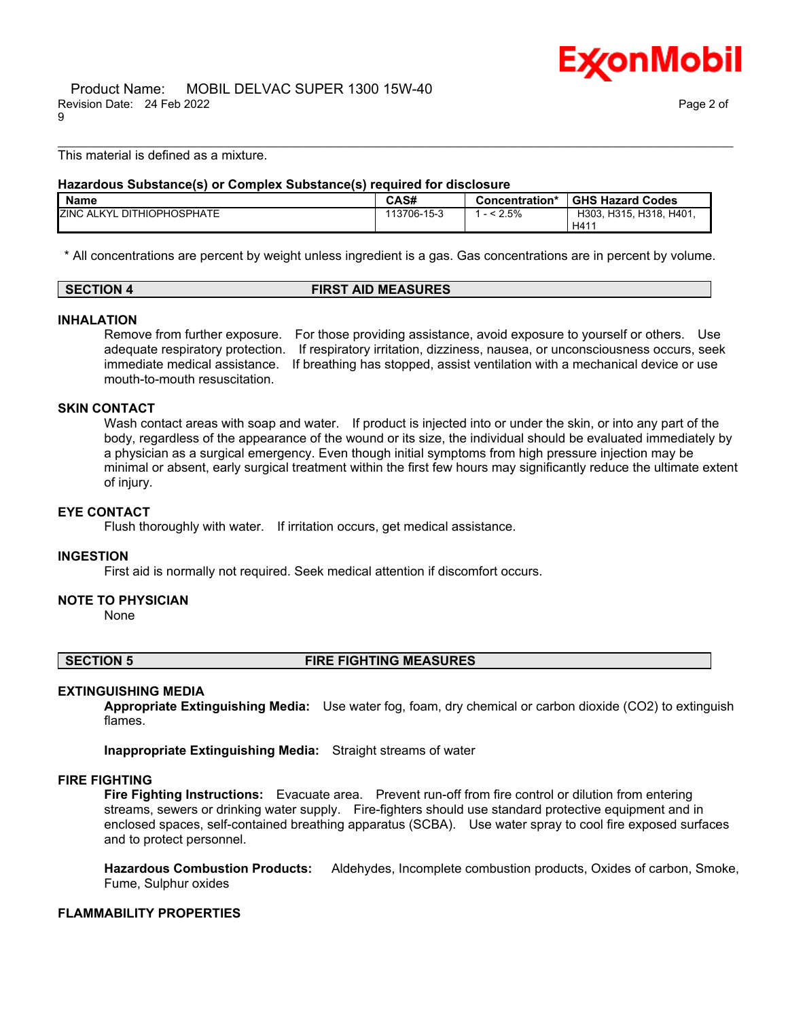

This material is defined as a mixture.

# **Hazardous Substance(s) or Complex Substance(s) required for disclosure**

| <b>Name</b>                          | <b>CAS#</b> | Concentration* | <b>GHS Hazard Codes</b>         |
|--------------------------------------|-------------|----------------|---------------------------------|
| <b>ZINC</b><br>ALKYL DITHIOPHOSPHATE | 113706-15-3 | 2.5%           | H303. H315. H318. H401.<br>H41' |

\_\_\_\_\_\_\_\_\_\_\_\_\_\_\_\_\_\_\_\_\_\_\_\_\_\_\_\_\_\_\_\_\_\_\_\_\_\_\_\_\_\_\_\_\_\_\_\_\_\_\_\_\_\_\_\_\_\_\_\_\_\_\_\_\_\_\_\_\_\_\_\_\_\_\_\_\_\_\_\_\_\_\_\_\_\_\_\_\_\_\_\_\_\_\_\_\_\_\_\_\_\_\_\_\_\_\_\_\_\_\_\_\_\_\_\_\_\_

\* All concentrations are percent by weight unless ingredient is a gas. Gas concentrations are in percent by volume.

# **SECTION 4 FIRST AID MEASURES**

# **INHALATION**

Remove from further exposure. For those providing assistance, avoid exposure to yourself or others. Use adequate respiratory protection. If respiratory irritation, dizziness, nausea, or unconsciousness occurs, seek immediate medical assistance. If breathing has stopped, assist ventilation with a mechanical device or use mouth-to-mouth resuscitation.

# **SKIN CONTACT**

Wash contact areas with soap and water. If product is injected into or under the skin, or into any part of the body, regardless of the appearance of the wound or its size, the individual should be evaluated immediately by a physician as a surgical emergency. Even though initial symptoms from high pressure injection may be minimal or absent, early surgical treatment within the first few hours may significantly reduce the ultimate extent of injury.

### **EYE CONTACT**

Flush thoroughly with water. If irritation occurs, get medical assistance.

### **INGESTION**

First aid is normally not required. Seek medical attention if discomfort occurs.

### **NOTE TO PHYSICIAN**

None

### **SECTION 5 FIRE FIGHTING MEASURES**

# **EXTINGUISHING MEDIA**

**Appropriate Extinguishing Media:** Use water fog, foam, dry chemical or carbon dioxide (CO2) to extinguish flames.

**Inappropriate Extinguishing Media:** Straight streams of water

# **FIRE FIGHTING**

**Fire Fighting Instructions:** Evacuate area. Prevent run-off from fire control or dilution from entering streams, sewers or drinking water supply. Fire-fighters should use standard protective equipment and in enclosed spaces, self-contained breathing apparatus (SCBA). Use water spray to cool fire exposed surfaces and to protect personnel.

**Hazardous Combustion Products:** Aldehydes, Incomplete combustion products, Oxides of carbon, Smoke, Fume, Sulphur oxides

### **FLAMMABILITY PROPERTIES**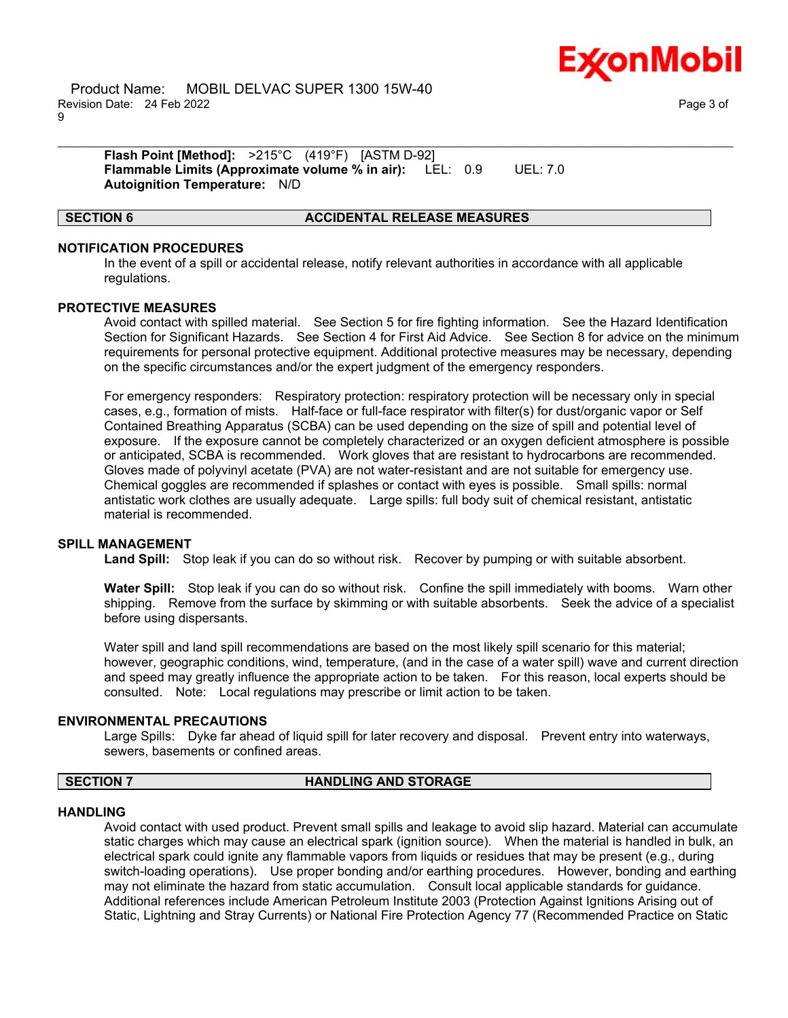

**Flash Point [Method]:** >215°C (419°F) [ASTM D-92] **Flammable Limits (Approximate volume % in air):** LEL: 0.9 UEL: 7.0 **Autoignition Temperature:** N/D

## **SECTION 6 ACCIDENTAL RELEASE MEASURES**

# **NOTIFICATION PROCEDURES**

In the event of a spill or accidental release, notify relevant authorities in accordance with all applicable regulations.

\_\_\_\_\_\_\_\_\_\_\_\_\_\_\_\_\_\_\_\_\_\_\_\_\_\_\_\_\_\_\_\_\_\_\_\_\_\_\_\_\_\_\_\_\_\_\_\_\_\_\_\_\_\_\_\_\_\_\_\_\_\_\_\_\_\_\_\_\_\_\_\_\_\_\_\_\_\_\_\_\_\_\_\_\_\_\_\_\_\_\_\_\_\_\_\_\_\_\_\_\_\_\_\_\_\_\_\_\_\_\_\_\_\_\_\_\_\_

### **PROTECTIVE MEASURES**

Avoid contact with spilled material. See Section 5 for fire fighting information. See the Hazard Identification Section for Significant Hazards. See Section 4 for First Aid Advice. See Section 8 for advice on the minimum requirements for personal protective equipment. Additional protective measures may be necessary, depending on the specific circumstances and/or the expert judgment of the emergency responders.

For emergency responders: Respiratory protection: respiratory protection will be necessary only in special cases, e.g., formation of mists. Half-face or full-face respirator with filter(s) for dust/organic vapor or Self Contained Breathing Apparatus (SCBA) can be used depending on the size of spill and potential level of exposure. If the exposure cannot be completely characterized or an oxygen deficient atmosphere is possible or anticipated, SCBA is recommended. Work gloves that are resistant to hydrocarbons are recommended. Gloves made of polyvinyl acetate (PVA) are not water-resistant and are not suitable for emergency use. Chemical goggles are recommended if splashes or contact with eyes is possible. Small spills: normal antistatic work clothes are usually adequate. Large spills: full body suit of chemical resistant, antistatic material is recommended.

### **SPILL MANAGEMENT**

**Land Spill:** Stop leak if you can do so without risk. Recover by pumping or with suitable absorbent.

**Water Spill:** Stop leak if you can do so without risk. Confine the spill immediately with booms. Warn other shipping. Remove from the surface by skimming or with suitable absorbents. Seek the advice of a specialist before using dispersants.

Water spill and land spill recommendations are based on the most likely spill scenario for this material; however, geographic conditions, wind, temperature, (and in the case of a water spill) wave and current direction and speed may greatly influence the appropriate action to be taken. For this reason, local experts should be consulted. Note: Local regulations may prescribe or limit action to be taken.

# **ENVIRONMENTAL PRECAUTIONS**

Large Spills: Dyke far ahead of liquid spill for later recovery and disposal. Prevent entry into waterways, sewers, basements or confined areas.

# **SECTION 7 HANDLING AND STORAGE**

### **HANDLING**

Avoid contact with used product. Prevent small spills and leakage to avoid slip hazard. Material can accumulate static charges which may cause an electrical spark (ignition source). When the material is handled in bulk, an electrical spark could ignite any flammable vapors from liquids or residues that may be present (e.g., during switch-loading operations). Use proper bonding and/or earthing procedures. However, bonding and earthing may not eliminate the hazard from static accumulation. Consult local applicable standards for guidance. Additional references include American Petroleum Institute 2003 (Protection Against Ignitions Arising out of Static, Lightning and Stray Currents) or National Fire Protection Agency 77 (Recommended Practice on Static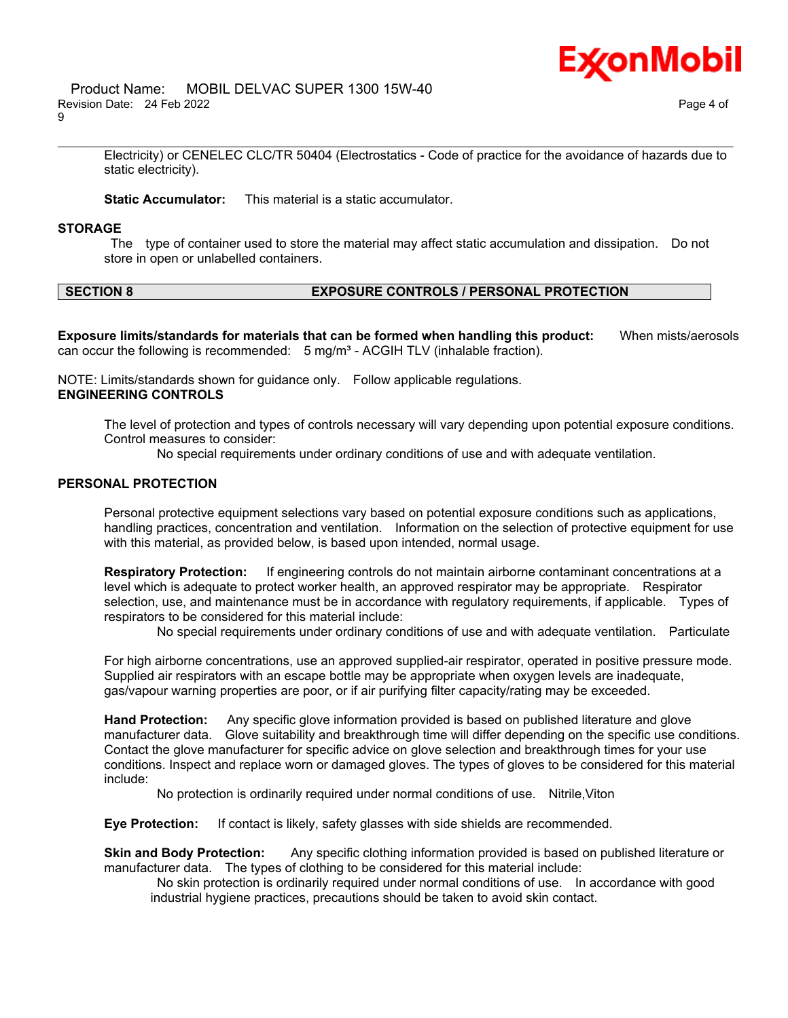

Electricity) or CENELEC CLC/TR 50404 (Electrostatics - Code of practice for the avoidance of hazards due to static electricity).

\_\_\_\_\_\_\_\_\_\_\_\_\_\_\_\_\_\_\_\_\_\_\_\_\_\_\_\_\_\_\_\_\_\_\_\_\_\_\_\_\_\_\_\_\_\_\_\_\_\_\_\_\_\_\_\_\_\_\_\_\_\_\_\_\_\_\_\_\_\_\_\_\_\_\_\_\_\_\_\_\_\_\_\_\_\_\_\_\_\_\_\_\_\_\_\_\_\_\_\_\_\_\_\_\_\_\_\_\_\_\_\_\_\_\_\_\_\_

**Static Accumulator:** This material is a static accumulator.

# **STORAGE**

The type of container used to store the material may affect static accumulation and dissipation. Do not store in open or unlabelled containers.

# **SECTION 8 EXPOSURE CONTROLS / PERSONAL PROTECTION**

**Exposure limits/standards for materials that can be formed when handling this product:** When mists/aerosols can occur the following is recommended:  $5 \text{ mg/m}^3$  - ACGIH TLV (inhalable fraction).

NOTE: Limits/standards shown for guidance only. Follow applicable regulations. **ENGINEERING CONTROLS**

> The level of protection and types of controls necessary will vary depending upon potential exposure conditions. Control measures to consider:

No special requirements under ordinary conditions of use and with adequate ventilation.

# **PERSONAL PROTECTION**

Personal protective equipment selections vary based on potential exposure conditions such as applications, handling practices, concentration and ventilation. Information on the selection of protective equipment for use with this material, as provided below, is based upon intended, normal usage.

**Respiratory Protection:** If engineering controls do not maintain airborne contaminant concentrations at a level which is adequate to protect worker health, an approved respirator may be appropriate. Respirator selection, use, and maintenance must be in accordance with regulatory requirements, if applicable. Types of respirators to be considered for this material include:

No special requirements under ordinary conditions of use and with adequate ventilation. Particulate

For high airborne concentrations, use an approved supplied-air respirator, operated in positive pressure mode. Supplied air respirators with an escape bottle may be appropriate when oxygen levels are inadequate, gas/vapour warning properties are poor, or if air purifying filter capacity/rating may be exceeded.

**Hand Protection:** Any specific glove information provided is based on published literature and glove manufacturer data. Glove suitability and breakthrough time will differ depending on the specific use conditions. Contact the glove manufacturer for specific advice on glove selection and breakthrough times for your use conditions. Inspect and replace worn or damaged gloves. The types of gloves to be considered for this material include:

No protection is ordinarily required under normal conditions of use. Nitrile,Viton

**Eye Protection:** If contact is likely, safety glasses with side shields are recommended.

**Skin and Body Protection:** Any specific clothing information provided is based on published literature or manufacturer data. The types of clothing to be considered for this material include:

No skin protection is ordinarily required under normal conditions of use. In accordance with good industrial hygiene practices, precautions should be taken to avoid skin contact.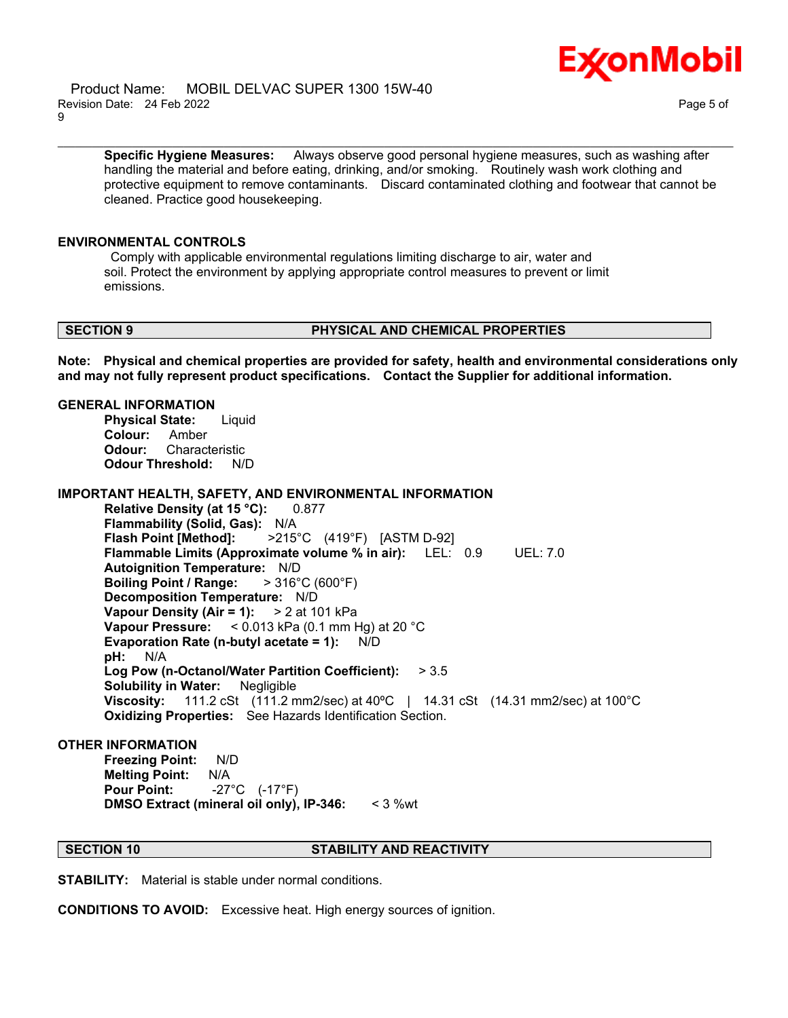

**Specific Hygiene Measures:** Always observe good personal hygiene measures, such as washing after handling the material and before eating, drinking, and/or smoking. Routinely wash work clothing and protective equipment to remove contaminants. Discard contaminated clothing and footwear that cannot be cleaned. Practice good housekeeping.

\_\_\_\_\_\_\_\_\_\_\_\_\_\_\_\_\_\_\_\_\_\_\_\_\_\_\_\_\_\_\_\_\_\_\_\_\_\_\_\_\_\_\_\_\_\_\_\_\_\_\_\_\_\_\_\_\_\_\_\_\_\_\_\_\_\_\_\_\_\_\_\_\_\_\_\_\_\_\_\_\_\_\_\_\_\_\_\_\_\_\_\_\_\_\_\_\_\_\_\_\_\_\_\_\_\_\_\_\_\_\_\_\_\_\_\_\_\_

# **ENVIRONMENTAL CONTROLS**

Comply with applicable environmental regulations limiting discharge to air, water and soil. Protect the environment by applying appropriate control measures to prevent or limit emissions.

### **SECTION 9 PHYSICAL AND CHEMICAL PROPERTIES**

**Note: Physical and chemical properties are provided for safety, health and environmental considerations only and may not fully represent product specifications. Contact the Supplier for additional information.**

# **GENERAL INFORMATION**

**Physical State:** Liquid **Colour:** Amber **Odour:** Characteristic **Odour Threshold:** N/D

# **IMPORTANT HEALTH, SAFETY, AND ENVIRONMENTAL INFORMATION**

**Relative Density (at 15 °C):** 0.877 **Flammability (Solid, Gas):** N/A **Flash Point [Method]:** >215°C (419°F) [ASTM D-92] **Flammable Limits (Approximate volume % in air):** LEL: 0.9 UEL: 7.0 **Autoignition Temperature:** N/D **Boiling Point / Range:** > 316°C (600°F) **Decomposition Temperature:** N/D **Vapour Density (Air = 1):** > 2 at 101 kPa **Vapour Pressure:** < 0.013 kPa (0.1 mm Hg) at 20 °C **Evaporation Rate (n-butyl acetate = 1):** N/D **pH:** N/A **Log Pow (n-Octanol/Water Partition Coefficient):** > 3.5 **Solubility in Water:** Negligible **Viscosity:** 111.2 cSt (111.2 mm2/sec) at 40ºC | 14.31 cSt (14.31 mm2/sec) at 100°C **Oxidizing Properties:** See Hazards Identification Section.

# **OTHER INFORMATION**

**Freezing Point:** N/D **Melting Point:** N/A **Pour Point:** -27°C (-17°F) **DMSO Extract (mineral oil only), IP-346:** < 3 %wt

# **SECTION 10 STABILITY AND REACTIVITY**

**STABILITY:** Material is stable under normal conditions.

**CONDITIONS TO AVOID:** Excessive heat. High energy sources of ignition.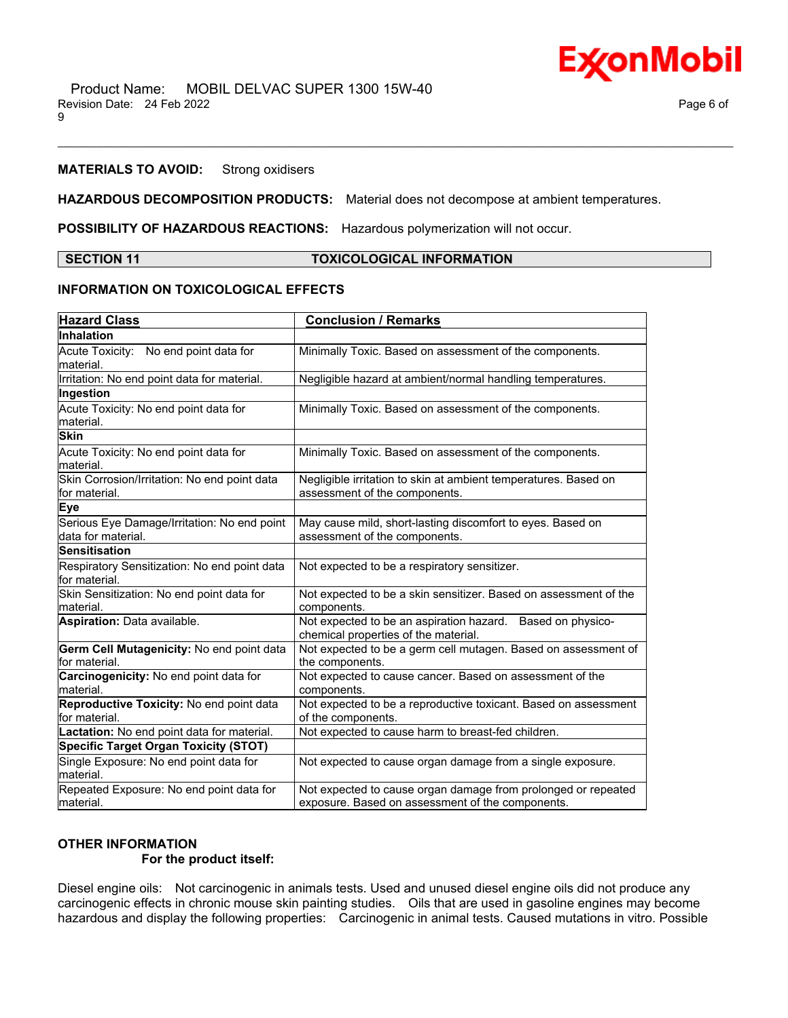

# **MATERIALS TO AVOID:** Strong oxidisers

**HAZARDOUS DECOMPOSITION PRODUCTS:** Material does not decompose at ambient temperatures.

**POSSIBILITY OF HAZARDOUS REACTIONS:** Hazardous polymerization will not occur.

# **SECTION 11 TOXICOLOGICAL INFORMATION**

\_\_\_\_\_\_\_\_\_\_\_\_\_\_\_\_\_\_\_\_\_\_\_\_\_\_\_\_\_\_\_\_\_\_\_\_\_\_\_\_\_\_\_\_\_\_\_\_\_\_\_\_\_\_\_\_\_\_\_\_\_\_\_\_\_\_\_\_\_\_\_\_\_\_\_\_\_\_\_\_\_\_\_\_\_\_\_\_\_\_\_\_\_\_\_\_\_\_\_\_\_\_\_\_\_\_\_\_\_\_\_\_\_\_\_\_\_\_

# **INFORMATION ON TOXICOLOGICAL EFFECTS**

| <b>Hazard Class</b>                                                | <b>Conclusion / Remarks</b>                                                                                       |  |  |
|--------------------------------------------------------------------|-------------------------------------------------------------------------------------------------------------------|--|--|
| Inhalation                                                         |                                                                                                                   |  |  |
| Acute Toxicity: No end point data for<br>lmaterial.                | Minimally Toxic. Based on assessment of the components.                                                           |  |  |
| Irritation: No end point data for material.                        | Negligible hazard at ambient/normal handling temperatures.                                                        |  |  |
| Ingestion                                                          |                                                                                                                   |  |  |
| Acute Toxicity: No end point data for<br>material.                 | Minimally Toxic. Based on assessment of the components.                                                           |  |  |
| <b>Skin</b>                                                        |                                                                                                                   |  |  |
| Acute Toxicity: No end point data for<br>material.                 | Minimally Toxic. Based on assessment of the components.                                                           |  |  |
| Skin Corrosion/Irritation: No end point data<br>for material.      | Negligible irritation to skin at ambient temperatures. Based on<br>assessment of the components.                  |  |  |
| <b>Eye</b>                                                         |                                                                                                                   |  |  |
| Serious Eye Damage/Irritation: No end point<br>ldata for material. | May cause mild, short-lasting discomfort to eyes. Based on<br>assessment of the components.                       |  |  |
| <b>Sensitisation</b>                                               |                                                                                                                   |  |  |
| Respiratory Sensitization: No end point data<br>for material.      | Not expected to be a respiratory sensitizer.                                                                      |  |  |
| Skin Sensitization: No end point data for<br>lmaterial.            | Not expected to be a skin sensitizer. Based on assessment of the<br>components.                                   |  |  |
| <b>Aspiration: Data available.</b>                                 | Not expected to be an aspiration hazard. Based on physico-<br>chemical properties of the material.                |  |  |
| Germ Cell Mutagenicity: No end point data<br>for material.         | Not expected to be a germ cell mutagen. Based on assessment of<br>the components.                                 |  |  |
| Carcinogenicity: No end point data for<br>material.                | Not expected to cause cancer. Based on assessment of the<br>components.                                           |  |  |
| Reproductive Toxicity: No end point data<br>lfor material.         | Not expected to be a reproductive toxicant. Based on assessment<br>of the components.                             |  |  |
| Lactation: No end point data for material.                         | Not expected to cause harm to breast-fed children.                                                                |  |  |
| <b>Specific Target Organ Toxicity (STOT)</b>                       |                                                                                                                   |  |  |
| Single Exposure: No end point data for<br>lmaterial.               | Not expected to cause organ damage from a single exposure.                                                        |  |  |
| Repeated Exposure: No end point data for<br>material.              | Not expected to cause organ damage from prolonged or repeated<br>exposure. Based on assessment of the components. |  |  |

# **OTHER INFORMATION**

# **For the product itself:**

Diesel engine oils: Not carcinogenic in animals tests. Used and unused diesel engine oils did not produce any carcinogenic effects in chronic mouse skin painting studies. Oils that are used in gasoline engines may become hazardous and display the following properties: Carcinogenic in animal tests. Caused mutations in vitro. Possible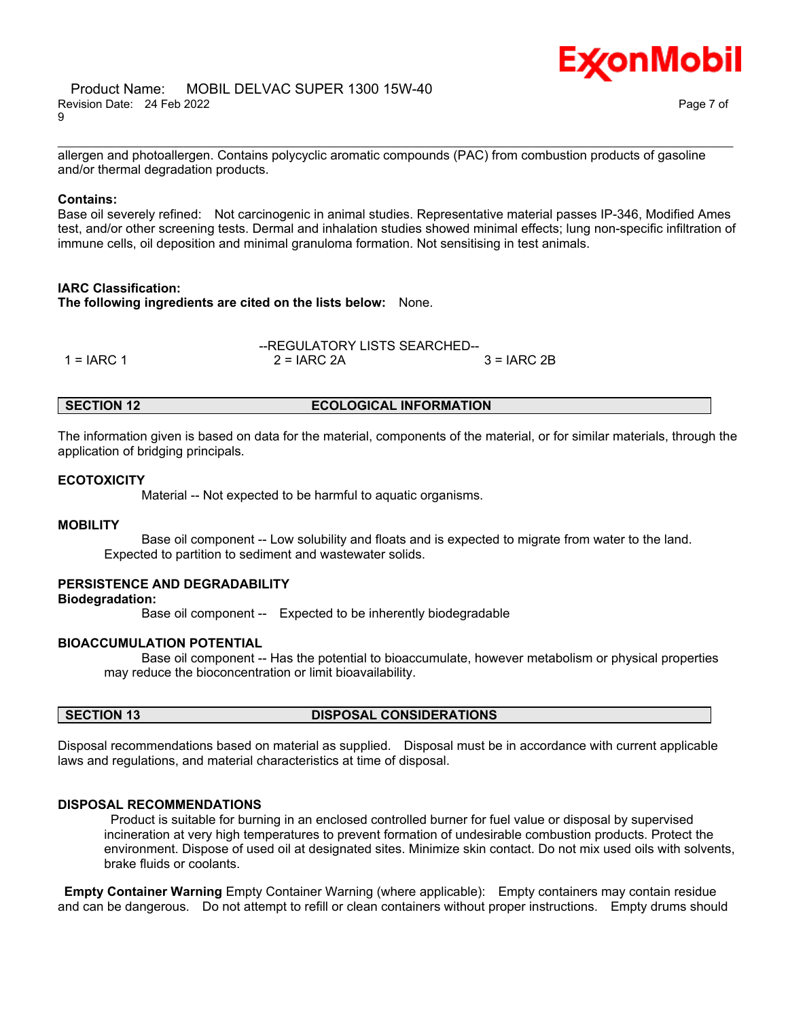

allergen and photoallergen. Contains polycyclic aromatic compounds (PAC) from combustion products of gasoline and/or thermal degradation products.

\_\_\_\_\_\_\_\_\_\_\_\_\_\_\_\_\_\_\_\_\_\_\_\_\_\_\_\_\_\_\_\_\_\_\_\_\_\_\_\_\_\_\_\_\_\_\_\_\_\_\_\_\_\_\_\_\_\_\_\_\_\_\_\_\_\_\_\_\_\_\_\_\_\_\_\_\_\_\_\_\_\_\_\_\_\_\_\_\_\_\_\_\_\_\_\_\_\_\_\_\_\_\_\_\_\_\_\_\_\_\_\_\_\_\_\_\_\_

# **Contains:**

Base oil severely refined: Not carcinogenic in animal studies. Representative material passes IP-346, Modified Ames test, and/or other screening tests. Dermal and inhalation studies showed minimal effects; lung non-specific infiltration of immune cells, oil deposition and minimal granuloma formation. Not sensitising in test animals.

# **IARC Classification:**

**The following ingredients are cited on the lists below:** None.

|              | --REGULATORY LISTS SEARCHED-- |               |  |
|--------------|-------------------------------|---------------|--|
| $1 = IARC 1$ | $2 = IARC 2A$                 | $3 = IARC 2B$ |  |

# **SECTION 12 ECOLOGICAL INFORMATION**

The information given is based on data for the material, components of the material, or for similar materials, through the application of bridging principals.

# **ECOTOXICITY**

Material -- Not expected to be harmful to aquatic organisms.

# **MOBILITY**

 Base oil component -- Low solubility and floats and is expected to migrate from water to the land. Expected to partition to sediment and wastewater solids.

### **PERSISTENCE AND DEGRADABILITY**

# **Biodegradation:**

Base oil component -- Expected to be inherently biodegradable

# **BIOACCUMULATION POTENTIAL**

 Base oil component -- Has the potential to bioaccumulate, however metabolism or physical properties may reduce the bioconcentration or limit bioavailability.

### **SECTION 13 DISPOSAL CONSIDERATIONS**

Disposal recommendations based on material as supplied. Disposal must be in accordance with current applicable laws and regulations, and material characteristics at time of disposal.

### **DISPOSAL RECOMMENDATIONS**

Product is suitable for burning in an enclosed controlled burner for fuel value or disposal by supervised incineration at very high temperatures to prevent formation of undesirable combustion products. Protect the environment. Dispose of used oil at designated sites. Minimize skin contact. Do not mix used oils with solvents, brake fluids or coolants.

**Empty Container Warning** Empty Container Warning (where applicable): Empty containers may contain residue and can be dangerous. Do not attempt to refill or clean containers without proper instructions. Empty drums should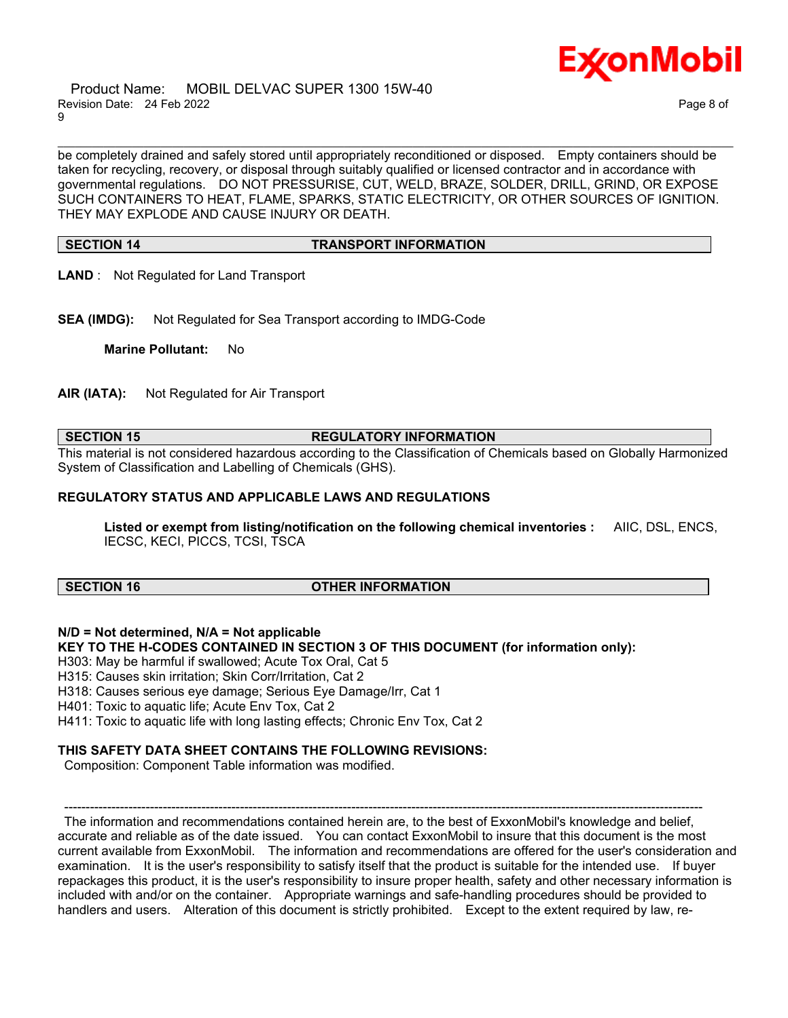Product Name: MOBIL DELVAC SUPER 1300 15W-40 Revision Date: 24 Feb 2022 Page 8 of 9



be completely drained and safely stored until appropriately reconditioned or disposed. Empty containers should be taken for recycling, recovery, or disposal through suitably qualified or licensed contractor and in accordance with governmental regulations. DO NOT PRESSURISE, CUT, WELD, BRAZE, SOLDER, DRILL, GRIND, OR EXPOSE SUCH CONTAINERS TO HEAT, FLAME, SPARKS, STATIC ELECTRICITY, OR OTHER SOURCES OF IGNITION. THEY MAY EXPLODE AND CAUSE INJURY OR DEATH.

\_\_\_\_\_\_\_\_\_\_\_\_\_\_\_\_\_\_\_\_\_\_\_\_\_\_\_\_\_\_\_\_\_\_\_\_\_\_\_\_\_\_\_\_\_\_\_\_\_\_\_\_\_\_\_\_\_\_\_\_\_\_\_\_\_\_\_\_\_\_\_\_\_\_\_\_\_\_\_\_\_\_\_\_\_\_\_\_\_\_\_\_\_\_\_\_\_\_\_\_\_\_\_\_\_\_\_\_\_\_\_\_\_\_\_\_\_\_

### **SECTION 14 TRANSPORT INFORMATION**

- **LAND** : Not Regulated for Land Transport
- **SEA (IMDG):** Not Regulated for Sea Transport according to IMDG-Code

**Marine Pollutant:** No

**AIR (IATA):** Not Regulated for Air Transport

### **SECTION 15 REGULATORY INFORMATION**

This material is not considered hazardous according to the Classification of Chemicals based on Globally Harmonized System of Classification and Labelling of Chemicals (GHS).

# **REGULATORY STATUS AND APPLICABLE LAWS AND REGULATIONS**

**Listed or exempt from listing/notification on the following chemical inventories :** AIIC, DSL, ENCS, IECSC, KECI, PICCS, TCSI, TSCA

# **SECTION 16 OTHER INFORMATION**

**N/D = Not determined, N/A = Not applicable KEY TO THE H-CODES CONTAINED IN SECTION 3 OF THIS DOCUMENT (for information only):** H303: May be harmful if swallowed; Acute Tox Oral, Cat 5 H315: Causes skin irritation; Skin Corr/Irritation, Cat 2 H318: Causes serious eye damage; Serious Eye Damage/Irr, Cat 1 H401: Toxic to aquatic life; Acute Env Tox, Cat 2 H411: Toxic to aquatic life with long lasting effects; Chronic Env Tox, Cat 2

# **THIS SAFETY DATA SHEET CONTAINS THE FOLLOWING REVISIONS:**

Composition: Component Table information was modified.

----------------------------------------------------------------------------------------------------------------------------------------------------- The information and recommendations contained herein are, to the best of ExxonMobil's knowledge and belief, accurate and reliable as of the date issued. You can contact ExxonMobil to insure that this document is the most current available from ExxonMobil. The information and recommendations are offered for the user's consideration and examination. It is the user's responsibility to satisfy itself that the product is suitable for the intended use. If buyer repackages this product, it is the user's responsibility to insure proper health, safety and other necessary information is included with and/or on the container. Appropriate warnings and safe-handling procedures should be provided to handlers and users. Alteration of this document is strictly prohibited. Except to the extent required by law, re-